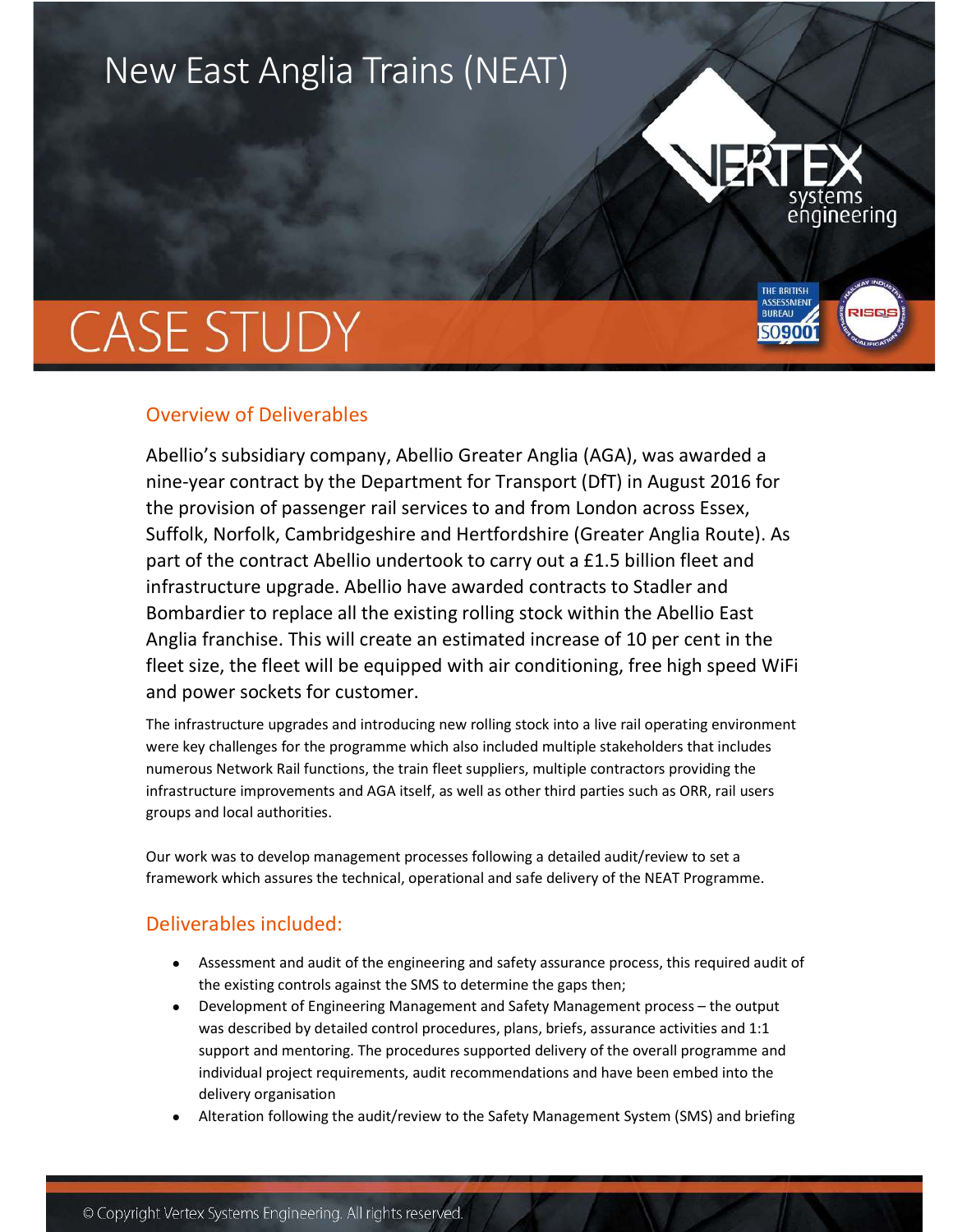## New East Anglia Trains (NEAT)



**THE BRITISH BUREAU** 

SO**900** 

## **CASE STUDY**

## Overview of Deliverables

Abellio's subsidiary company, Abellio Greater Anglia (AGA), was awarded a nine-year contract by the Department for Transport (DfT) in August 2016 for the provision of passenger rail services to and from London across Essex, Suffolk, Norfolk, Cambridgeshire and Hertfordshire (Greater Anglia Route). As part of the contract Abellio undertook to carry out a £1.5 billion fleet and infrastructure upgrade. Abellio have awarded contracts to Stadler and Bombardier to replace all the existing rolling stock within the Abellio East Anglia franchise. This will create an estimated increase of 10 per cent in the fleet size, the fleet will be equipped with air conditioning, free high speed WiFi and power sockets for customer.

The infrastructure upgrades and introducing new rolling stock into a live rail operating environment were key challenges for the programme which also included multiple stakeholders that includes numerous Network Rail functions, the train fleet suppliers, multiple contractors providing the infrastructure improvements and AGA itself, as well as other third parties such as ORR, rail users groups and local authorities.

Our work was to develop management processes following a detailed audit/review to set a framework which assures the technical, operational and safe delivery of the NEAT Programme.

## Deliverables included:

- Assessment and audit of the engineering and safety assurance process, this required audit of the existing controls against the SMS to determine the gaps then;
- Development of Engineering Management and Safety Management process the output was described by detailed control procedures, plans, briefs, assurance activities and 1:1 support and mentoring. The procedures supported delivery of the overall programme and individual project requirements, audit recommendations and have been embed into the delivery organisation
- Alteration following the audit/review to the Safety Management System (SMS) and briefing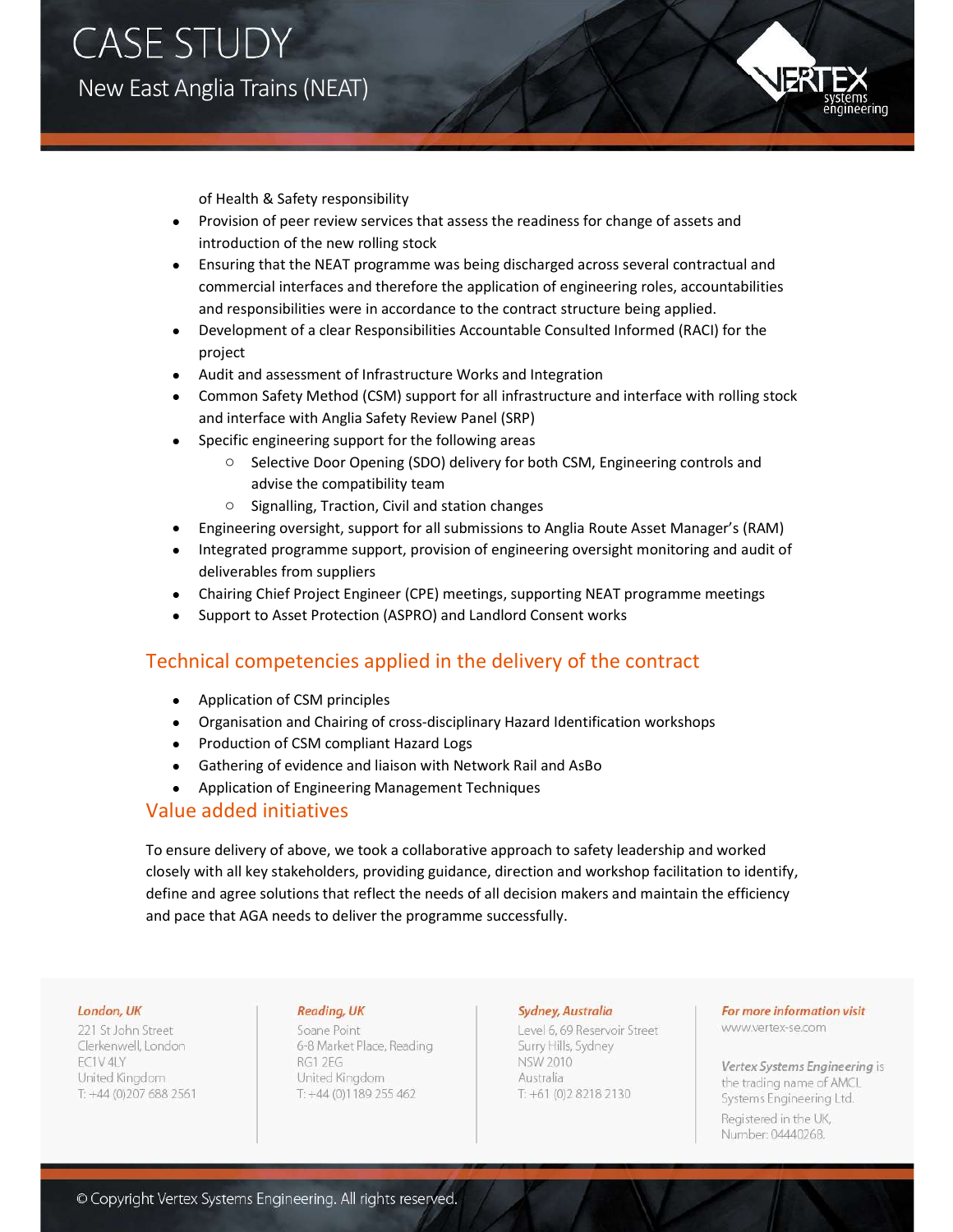**CASE STUDY** New East Anglia Trains (NEAT)



of Health & Safety responsibility

- Provision of peer review services that assess the readiness for change of assets and introduction of the new rolling stock
- Ensuring that the NEAT programme was being discharged across several contractual and commercial interfaces and therefore the application of engineering roles, accountabilities and responsibilities were in accordance to the contract structure being applied.
- Development of a clear Responsibilities Accountable Consulted Informed (RACI) for the project
- Audit and assessment of Infrastructure Works and Integration
- Common Safety Method (CSM) support for all infrastructure and interface with rolling stock and interface with Anglia Safety Review Panel (SRP)
- Specific engineering support for the following areas
	- o Selective Door Opening (SDO) delivery for both CSM, Engineering controls and advise the compatibility team
	- o Signalling, Traction, Civil and station changes
- Engineering oversight, support for all submissions to Anglia Route Asset Manager's (RAM)
- Integrated programme support, provision of engineering oversight monitoring and audit of deliverables from suppliers
- Chairing Chief Project Engineer (CPE) meetings, supporting NEAT programme meetings
- Support to Asset Protection (ASPRO) and Landlord Consent works

## Technical competencies applied in the delivery of the contract

- Application of CSM principles
- Organisation and Chairing of cross-disciplinary Hazard Identification workshops
- Production of CSM compliant Hazard Logs
- Gathering of evidence and liaison with Network Rail and AsBo
- Application of Engineering Management Techniques

#### Value added initiatives

To ensure delivery of above, we took a collaborative approach to safety leadership and worked closely with all key stakeholders, providing guidance, direction and workshop facilitation to identify, define and agree solutions that reflect the needs of all decision makers and maintain the efficiency and pace that AGA needs to deliver the programme successfully.

#### London, UK

221 St John Street Clerkenwell, London **FC1V4LY** United Kinadom T: +44 (0)207 688 2561

#### Reading, UK

Soane Point 6-8 Market Place, Reading RG1 2EG United Kingdom  $T: +44(0)1189255462$ 

#### Sydney, Australia

Level 6, 69 Reservoir Street Surry Hills, Sydney **NSW 2010** Australia T: +61 (0) 2 8 218 2130

## For more information visit

www.vertex-se.com

Vertex Systems Engineering is the trading name of AMCL Systems Engineering Ltd. Registered in the UK, Number: 04440268.